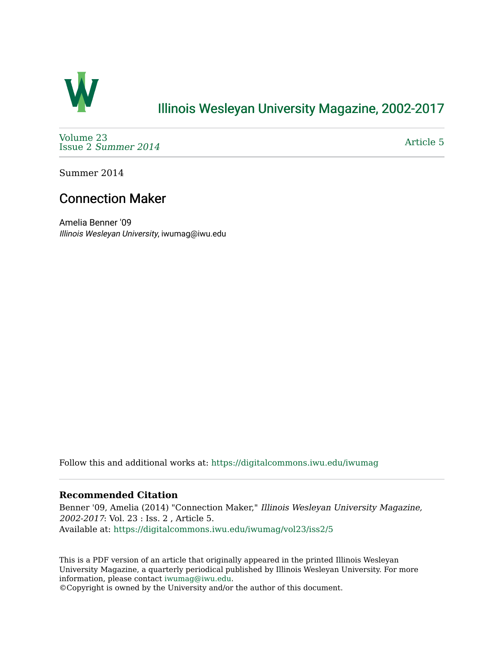

## [Illinois Wesleyan University Magazine, 2002-2017](https://digitalcommons.iwu.edu/iwumag)

[Volume 23](https://digitalcommons.iwu.edu/iwumag/vol23)  Issue 2 [Summer 2014](https://digitalcommons.iwu.edu/iwumag/vol23/iss2) 

[Article 5](https://digitalcommons.iwu.edu/iwumag/vol23/iss2/5) 

Summer 2014

## Connection Maker

Amelia Benner '09 Illinois Wesleyan University, iwumag@iwu.edu

Follow this and additional works at: [https://digitalcommons.iwu.edu/iwumag](https://digitalcommons.iwu.edu/iwumag?utm_source=digitalcommons.iwu.edu%2Fiwumag%2Fvol23%2Fiss2%2F5&utm_medium=PDF&utm_campaign=PDFCoverPages) 

## **Recommended Citation**

Benner '09, Amelia (2014) "Connection Maker," Illinois Wesleyan University Magazine, 2002-2017: Vol. 23 : Iss. 2 , Article 5. Available at: [https://digitalcommons.iwu.edu/iwumag/vol23/iss2/5](https://digitalcommons.iwu.edu/iwumag/vol23/iss2/5?utm_source=digitalcommons.iwu.edu%2Fiwumag%2Fvol23%2Fiss2%2F5&utm_medium=PDF&utm_campaign=PDFCoverPages)

This is a PDF version of an article that originally appeared in the printed Illinois Wesleyan University Magazine, a quarterly periodical published by Illinois Wesleyan University. For more information, please contact [iwumag@iwu.edu](mailto:iwumag@iwu.edu).

©Copyright is owned by the University and/or the author of this document.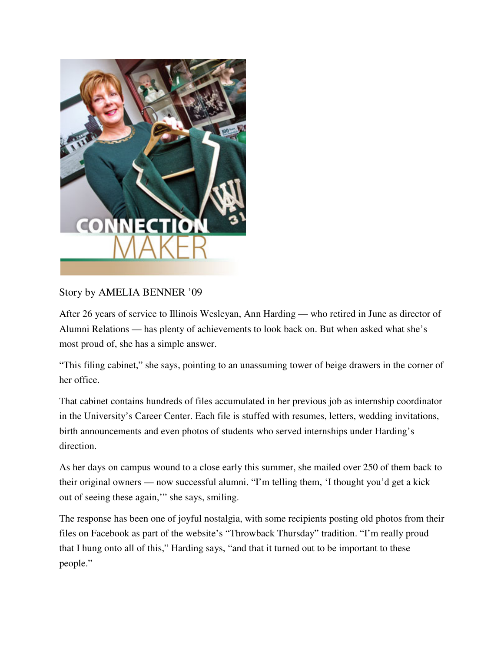

## Story by AMELIA BENNER '09

After 26 years of service to Illinois Wesleyan, Ann Harding — who retired in June as director of Alumni Relations — has plenty of achievements to look back on. But when asked what she's most proud of, she has a simple answer.

"This filing cabinet," she says, pointing to an unassuming tower of beige drawers in the corner of her office.

That cabinet contains hundreds of files accumulated in her previous job as internship coordinator in the University's Career Center. Each file is stuffed with resumes, letters, wedding invitations, birth announcements and even photos of students who served internships under Harding's direction.

As her days on campus wound to a close early this summer, she mailed over 250 of them back to their original owners — now successful alumni. "I'm telling them, 'I thought you'd get a kick out of seeing these again,'" she says, smiling.

The response has been one of joyful nostalgia, with some recipients posting old photos from their files on Facebook as part of the website's "Throwback Thursday" tradition. "I'm really proud that I hung onto all of this," Harding says, "and that it turned out to be important to these people."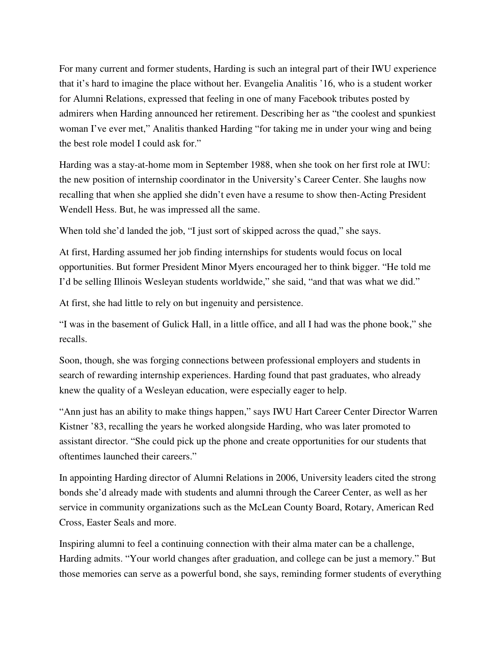For many current and former students, Harding is such an integral part of their IWU experience that it's hard to imagine the place without her. Evangelia Analitis '16, who is a student worker for Alumni Relations, expressed that feeling in one of many Facebook tributes posted by admirers when Harding announced her retirement. Describing her as "the coolest and spunkiest woman I've ever met," Analitis thanked Harding "for taking me in under your wing and being the best role model I could ask for."

Harding was a stay-at-home mom in September 1988, when she took on her first role at IWU: the new position of internship coordinator in the University's Career Center. She laughs now recalling that when she applied she didn't even have a resume to show then-Acting President Wendell Hess. But, he was impressed all the same.

When told she'd landed the job, "I just sort of skipped across the quad," she says.

At first, Harding assumed her job finding internships for students would focus on local opportunities. But former President Minor Myers encouraged her to think bigger. "He told me I'd be selling Illinois Wesleyan students worldwide," she said, "and that was what we did."

At first, she had little to rely on but ingenuity and persistence.

"I was in the basement of Gulick Hall, in a little office, and all I had was the phone book," she recalls.

Soon, though, she was forging connections between professional employers and students in search of rewarding internship experiences. Harding found that past graduates, who already knew the quality of a Wesleyan education, were especially eager to help.

"Ann just has an ability to make things happen," says IWU Hart Career Center Director Warren Kistner '83, recalling the years he worked alongside Harding, who was later promoted to assistant director. "She could pick up the phone and create opportunities for our students that oftentimes launched their careers."

In appointing Harding director of Alumni Relations in 2006, University leaders cited the strong bonds she'd already made with students and alumni through the Career Center, as well as her service in community organizations such as the McLean County Board, Rotary, American Red Cross, Easter Seals and more.

Inspiring alumni to feel a continuing connection with their alma mater can be a challenge, Harding admits. "Your world changes after graduation, and college can be just a memory." But those memories can serve as a powerful bond, she says, reminding former students of everything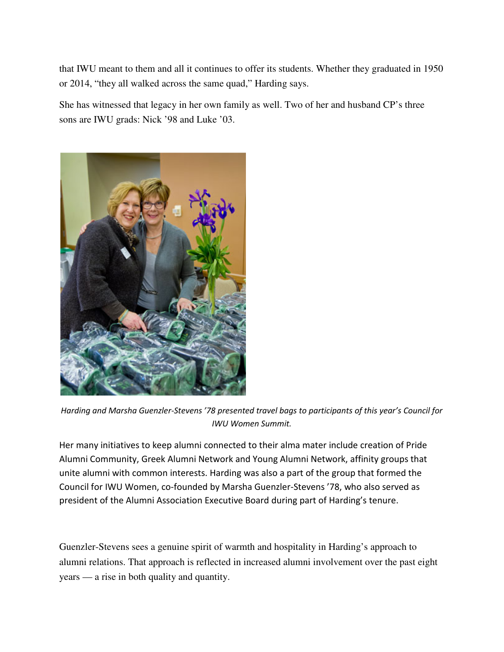that IWU meant to them and all it continues to offer its students. Whether they graduated in 1950 or 2014, "they all walked across the same quad," Harding says.

She has witnessed that legacy in her own family as well. Two of her and husband CP's three sons are IWU grads: Nick '98 and Luke '03.



Harding and Marsha Guenzler-Stevens '78 presented travel bags to participants of this year's Council for IWU Women Summit.

Her many initiatives to keep alumni connected to their alma mater include creation of Pride Alumni Community, Greek Alumni Network and Young Alumni Network, affinity groups that unite alumni with common interests. Harding was also a part of the group that formed the Council for IWU Women, co-founded by Marsha Guenzler-Stevens '78, who also served as president of the Alumni Association Executive Board during part of Harding's tenure.

Guenzler-Stevens sees a genuine spirit of warmth and hospitality in Harding's approach to alumni relations. That approach is reflected in increased alumni involvement over the past eight years — a rise in both quality and quantity.